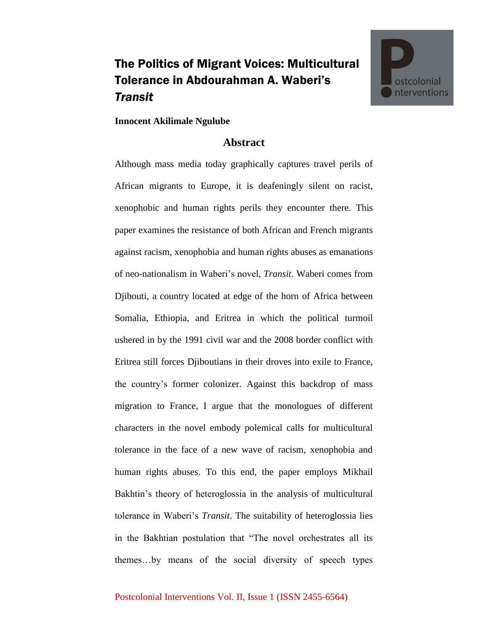## The Politics of Migrant Voices: Multicultural Tolerance in Abdourahman A. Waberi's *Transit*



## **Innocent Akilimale Ngulube**

## **Abstract**

Although mass media today graphically captures travel perils of African migrants to Europe, it is deafeningly silent on racist, xenophobic and human rights perils they encounter there. This paper examines the resistance of both African and French migrants against racism, xenophobia and human rights abuses as emanations of neo-nationalism in Waberi's novel, *Transit*. Waberi comes from Djibouti, a country located at edge of the horn of Africa between Somalia, Ethiopia, and Eritrea in which the political turmoil ushered in by the 1991 civil war and the 2008 border conflict with Eritrea still forces Djiboutians in their droves into exile to France, the country's former colonizer. Against this backdrop of mass migration to France, I argue that the monologues of different characters in the novel embody polemical calls for multicultural tolerance in the face of a new wave of racism, xenophobia and human rights abuses. To this end, the paper employs Mikhail Bakhtin's theory of heteroglossia in the analysis of multicultural tolerance in Waberi's *Transit*. The suitability of heteroglossia lies in the Bakhtian postulation that "The novel orchestrates all its themes…by means of the social diversity of speech types